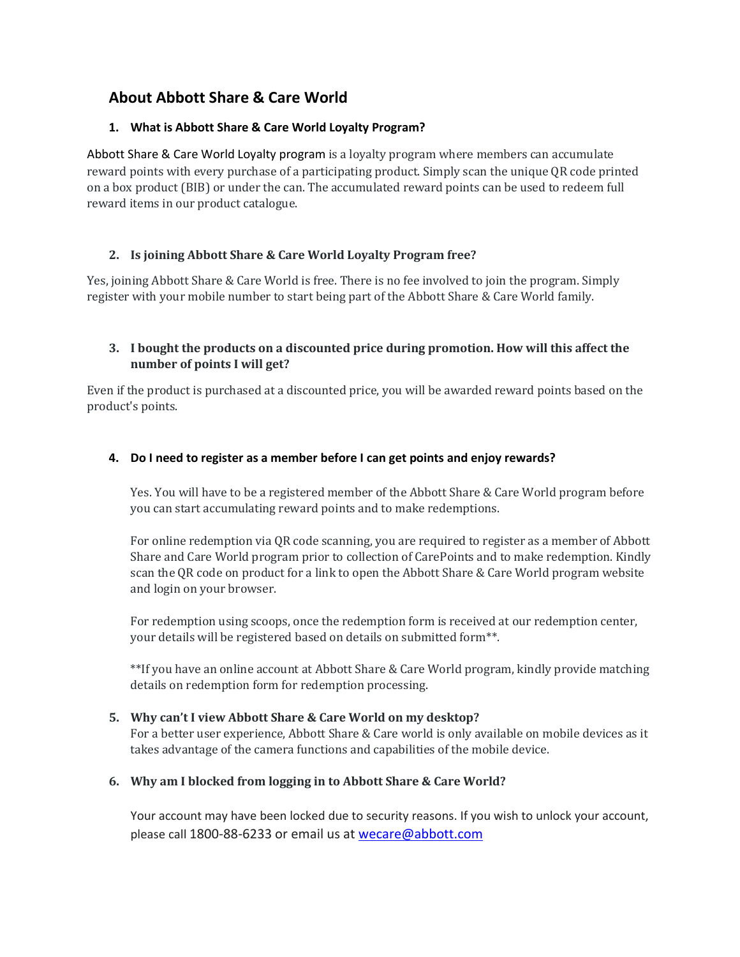# **About Abbott Share & Care World**

## **1. What is Abbott Share & Care World Loyalty Program?**

Abbott Share & Care World Loyalty program is a loyalty program where members can accumulate reward points with every purchase of a participating product. Simply scan the unique QR code printed on a box product (BIB) or under the can. The accumulated reward points can be used to redeem full reward items in our product catalogue.

## **2. Is joining Abbott Share & Care World Loyalty Program free?**

Yes, joining Abbott Share & Care World is free. There is no fee involved to join the program. Simply register with your mobile number to start being part of the Abbott Share & Care World family.

## **3. I bought the products on a discounted price during promotion. How will this affect the number of points I will get?**

Even if the product is purchased at a discounted price, you will be awarded reward points based on the product's points.

# **4. Do I need to register as a member before I can get points and enjoy rewards?**

Yes. You will have to be a registered member of the Abbott Share & Care World program before you can start accumulating reward points and to make redemptions.

For online redemption via QR code scanning, you are required to register as a member of Abbott Share and Care World program prior to collection of CarePoints and to make redemption. Kindly scan the QR code on product for a link to open the Abbott Share & Care World program website and login on your browser.

For redemption using scoops, once the redemption form is received at our redemption center, your details will be registered based on details on submitted form\*\*.

\*\*If you have an online account at Abbott Share & Care World program, kindly provide matching details on redemption form for redemption processing.

## **5. Why can't I view Abbott Share & Care World on my desktop?**

For a better user experience, Abbott Share & Care world is only available on mobile devices as it takes advantage of the camera functions and capabilities of the mobile device.

## **6. Why am I blocked from logging in to Abbott Share & Care World?**

Your account may have been locked due to security reasons. If you wish to unlock your account, please call 1800-88-6233 or email us at [wecare@abbott.com](mailto:wecare@abbott.com)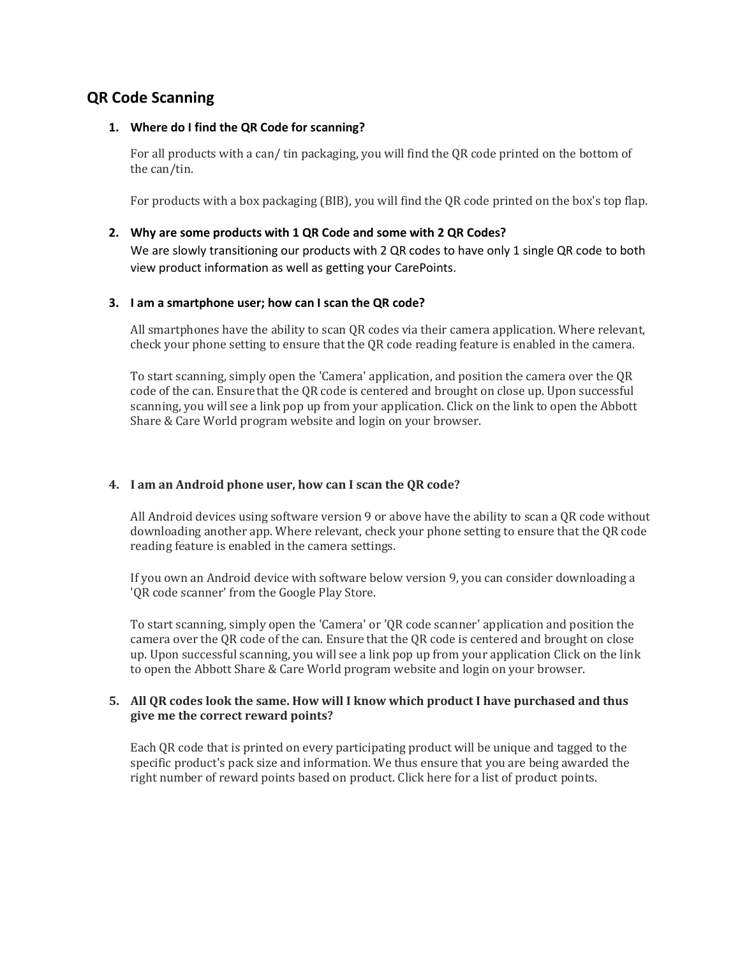# **QR Code Scanning**

### **1. Where do I find the QR Code for scanning?**

For all products with a can/ tin packaging, you will find the QR code printed on the bottom of the can/tin.

For products with a box packaging (BIB), you will find the QR code printed on the box's top flap.

## **2. Why are some products with 1 QR Code and some with 2 QR Codes?**

We are slowly transitioning our products with 2 QR codes to have only 1 single QR code to both view product information as well as getting your CarePoints.

## **3. I am a smartphone user; how can I scan the QR code?**

All smartphones have the ability to scan QR codes via their camera application. Where relevant, check your phone setting to ensure that the QR code reading feature is enabled in the camera.

To start scanning, simply open the 'Camera' application, and position the camera over the QR code of the can. Ensure that the QR code is centered and brought on close up. Upon successful scanning, you will see a link pop up from your application. Click on the link to open the Abbott Share & Care World program website and login on your browser.

## **4. I am an Android phone user, how can I scan the QR code?**

All Android devices using software version 9 or above have the ability to scan a QR code without downloading another app. Where relevant, check your phone setting to ensure that the QR code reading feature is enabled in the camera settings.

If you own an Android device with software below version 9, you can consider downloading a 'QR code scanner' from the Google Play Store.

To start scanning, simply open the 'Camera' or 'QR code scanner' application and position the camera over the QR code of the can. Ensure that the QR code is centered and brought on close up. Upon successful scanning, you will see a link pop up from your application Click on the link to open the Abbott Share & Care World program website and login on your browser.

#### **5. All QR codes look the same. How will I know which product I have purchased and thus give me the correct reward points?**

Each QR code that is printed on every participating product will be unique and tagged to the specific product's pack size and information. We thus ensure that you are being awarded the right number of reward points based on product. Click here for a list of product points.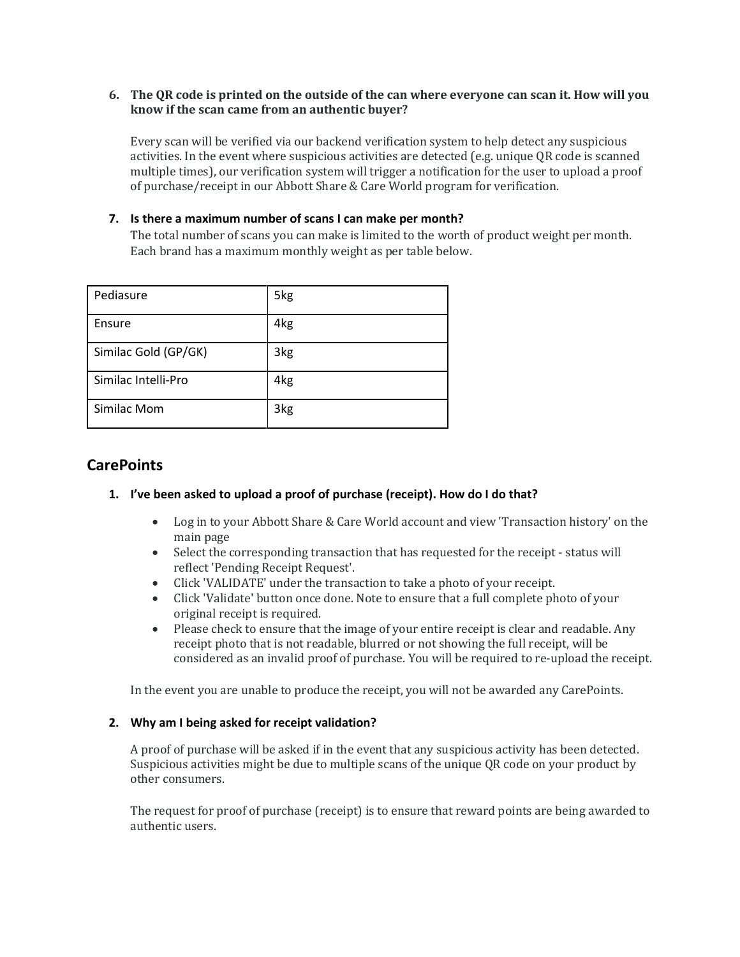## **6. The QR code is printed on the outside of the can where everyone can scan it. How will you know if the scan came from an authentic buyer?**

Every scan will be verified via our backend verification system to help detect any suspicious activities. In the event where suspicious activities are detected (e.g. unique QR code is scanned multiple times), our verification system will trigger a notification for the user to upload a proof of purchase/receipt in our Abbott Share & Care World program for verification.

## **7. Is there a maximum number of scans I can make per month?**

The total number of scans you can make is limited to the worth of product weight per month. Each brand has a maximum monthly weight as per table below.

| Pediasure            | 5kg             |
|----------------------|-----------------|
| Ensure               | 4 <sub>kg</sub> |
| Similac Gold (GP/GK) | 3kg             |
| Similac Intelli-Pro  | 4kg             |
| Similac Mom          | 3kg             |

# **CarePoints**

## **1. I've been asked to upload a proof of purchase (receipt). How do I do that?**

- Log in to your Abbott Share & Care World account and view 'Transaction history' on the main page
- Select the corresponding transaction that has requested for the receipt status will reflect 'Pending Receipt Request'.
- Click 'VALIDATE' under the transaction to take a photo of your receipt.
- Click 'Validate' button once done. Note to ensure that a full complete photo of your original receipt is required.
- Please check to ensure that the image of your entire receipt is clear and readable. Any receipt photo that is not readable, blurred or not showing the full receipt, will be considered as an invalid proof of purchase. You will be required to re-upload the receipt.

In the event you are unable to produce the receipt, you will not be awarded any CarePoints.

#### **2. Why am I being asked for receipt validation?**

A proof of purchase will be asked if in the event that any suspicious activity has been detected. Suspicious activities might be due to multiple scans of the unique QR code on your product by other consumers.

The request for proof of purchase (receipt) is to ensure that reward points are being awarded to authentic users.